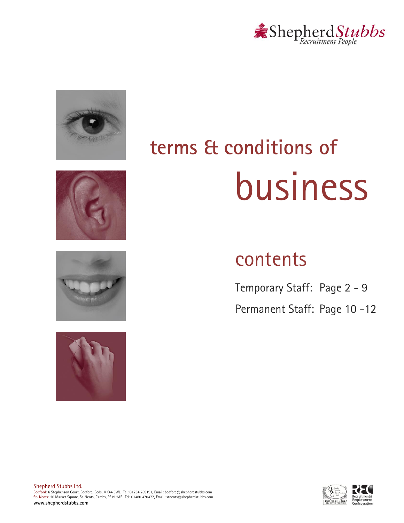









# **terms & conditions of** business

# contents

Temporary Staff: Page 2 - 9 Permanent Staff: Page 10-12



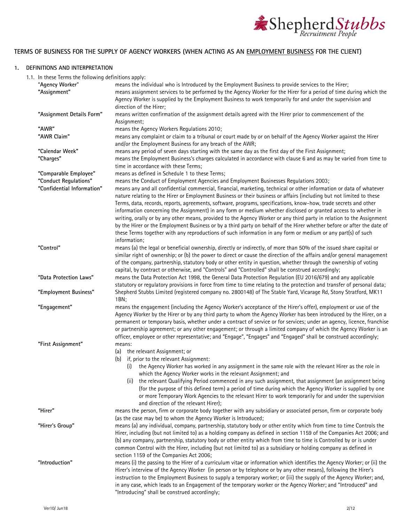

# **TERMS OF BUSINESS FOR THE SUPPLY OF AGENCY WORKERS (WHEN ACTING AS AN EMPLOYMENT BUSINESS FOR THE CLIENT)**

#### <span id="page-1-0"></span>**1. DEFINITIONS AND INTERPRETATION**

1.1. In these Terms the following definitions apply:

| in these remissing nursing acrimitions apply. |                                                                                                                                                                                                                                                                                                                                                                                                                                                                                                                                                                                                                                                                                                                                                                                                                                                                      |
|-----------------------------------------------|----------------------------------------------------------------------------------------------------------------------------------------------------------------------------------------------------------------------------------------------------------------------------------------------------------------------------------------------------------------------------------------------------------------------------------------------------------------------------------------------------------------------------------------------------------------------------------------------------------------------------------------------------------------------------------------------------------------------------------------------------------------------------------------------------------------------------------------------------------------------|
| "Agency Worker"                               | means the individual who is Introduced by the Employment Business to provide services to the Hirer;                                                                                                                                                                                                                                                                                                                                                                                                                                                                                                                                                                                                                                                                                                                                                                  |
| "Assignment"                                  | means assignment services to be performed by the Agency Worker for the Hirer for a period of time during which the<br>Agency Worker is supplied by the Employment Business to work temporarily for and under the supervision and<br>direction of the Hirer;                                                                                                                                                                                                                                                                                                                                                                                                                                                                                                                                                                                                          |
| "Assignment Details Form"                     | means written confirmation of the assignment details agreed with the Hirer prior to commencement of the<br>Assignment;                                                                                                                                                                                                                                                                                                                                                                                                                                                                                                                                                                                                                                                                                                                                               |
| "AWR"                                         | means the Agency Workers Regulations 2010;                                                                                                                                                                                                                                                                                                                                                                                                                                                                                                                                                                                                                                                                                                                                                                                                                           |
| "AWR Claim"                                   | means any complaint or claim to a tribunal or court made by or on behalf of the Agency Worker against the Hirer                                                                                                                                                                                                                                                                                                                                                                                                                                                                                                                                                                                                                                                                                                                                                      |
|                                               | and/or the Employment Business for any breach of the AWR;                                                                                                                                                                                                                                                                                                                                                                                                                                                                                                                                                                                                                                                                                                                                                                                                            |
| "Calendar Week"                               | means any period of seven days starting with the same day as the first day of the First Assignment;                                                                                                                                                                                                                                                                                                                                                                                                                                                                                                                                                                                                                                                                                                                                                                  |
| "Charges"                                     | means the Employment Business's charges calculated in accordance with clause 6 and as may be varied from time to<br>time in accordance with these Terms;                                                                                                                                                                                                                                                                                                                                                                                                                                                                                                                                                                                                                                                                                                             |
| "Comparable Employee"                         | means as defined in Schedule 1 to these Terms;                                                                                                                                                                                                                                                                                                                                                                                                                                                                                                                                                                                                                                                                                                                                                                                                                       |
| "Conduct Regulations"                         | means the Conduct of Employment Agencies and Employment Businesses Regulations 2003;                                                                                                                                                                                                                                                                                                                                                                                                                                                                                                                                                                                                                                                                                                                                                                                 |
| "Confidential Information"                    | means any and all confidential commercial, financial, marketing, technical or other information or data of whatever<br>nature relating to the Hirer or Employment Business or their business or affairs (including but not limited to these<br>Terms, data, records, reports, agreements, software, programs, specifications, know-how, trade secrets and other<br>information concerning the Assignment) in any form or medium whether disclosed or granted access to whether in<br>writing, orally or by any other means, provided to the Agency Worker or any third party in relation to the Assignment<br>by the Hirer or the Employment Business or by a third party on behalf of the Hirer whether before or after the date of<br>these Terms together with any reproductions of such information in any form or medium or any part(s) of such<br>information; |
| "Control"                                     | means (a) the legal or beneficial ownership, directly or indirectly, of more than 50% of the issued share capital or<br>similar right of ownership; or (b) the power to direct or cause the direction of the affairs and/or general management<br>of the company, partnership, statutory body or other entity in question, whether through the ownership of voting<br>capital, by contract or otherwise, and "Controls" and "Controlled" shall be construed accordingly;                                                                                                                                                                                                                                                                                                                                                                                             |
| "Data Protection Laws"                        | means the Data Protection Act 1998, the General Data Protection Regulation (EU 2016/679) and any applicable<br>statutory or regulatory provisions in force from time to time relating to the protection and transfer of personal data;                                                                                                                                                                                                                                                                                                                                                                                                                                                                                                                                                                                                                               |
| "Employment Business"                         | Shepherd Stubbs Limited (registered company no. 2800148) of The Stable Yard, Vicarage Rd, Stony Stratford, MK11<br>1BN;                                                                                                                                                                                                                                                                                                                                                                                                                                                                                                                                                                                                                                                                                                                                              |
| "Engagement"                                  | means the engagement (including the Agency Worker's acceptance of the Hirer's offer), employment or use of the<br>Agency Worker by the Hirer or by any third party to whom the Agency Worker has been introduced by the Hirer, on a<br>permanent or temporary basis, whether under a contract of service or for services; under an agency, licence, franchise<br>or partnership agreement; or any other engagement; or through a limited company of which the Agency Worker is an<br>officer, employee or other representative; and "Engage", "Engages" and "Engaged" shall be construed accordingly;                                                                                                                                                                                                                                                                |
| "First Assignment"                            | means:                                                                                                                                                                                                                                                                                                                                                                                                                                                                                                                                                                                                                                                                                                                                                                                                                                                               |
|                                               | (a) the relevant Assignment; or                                                                                                                                                                                                                                                                                                                                                                                                                                                                                                                                                                                                                                                                                                                                                                                                                                      |
|                                               | (b) if, prior to the relevant Assignment:                                                                                                                                                                                                                                                                                                                                                                                                                                                                                                                                                                                                                                                                                                                                                                                                                            |
|                                               | (i) the Agency Worker has worked in any assignment in the same role with the relevant Hirer as the role in<br>which the Agency Worker works in the relevant Assignment; and                                                                                                                                                                                                                                                                                                                                                                                                                                                                                                                                                                                                                                                                                          |
|                                               | the relevant Qualifying Period commenced in any such assignment, that assignment (an assignment being<br>(for the purpose of this defined term) a period of time during which the Agency Worker is supplied by one<br>or more Temporary Work Agencies to the relevant Hirer to work temporarily for and under the supervision<br>and direction of the relevant Hirer);                                                                                                                                                                                                                                                                                                                                                                                                                                                                                               |
| "Hirer"                                       | means the person, firm or corporate body together with any subsidiary or associated person, firm or corporate body<br>(as the case may be) to whom the Agency Worker is Introduced;                                                                                                                                                                                                                                                                                                                                                                                                                                                                                                                                                                                                                                                                                  |
| "Hirer's Group"                               | means (a) any individual, company, partnership, statutory body or other entity which from time to time Controls the<br>Hirer, including (but not limited to) as a holding company as defined in section 1159 of the Companies Act 2006; and<br>(b) any company, partnership, statutory body or other entity which from time to time is Controlled by or is under<br>common Control with the Hirer, including (but not limited to) as a subsidiary or holding company as defined in<br>section 1159 of the Companies Act 2006;                                                                                                                                                                                                                                                                                                                                        |
| "Introduction"                                | means (i) the passing to the Hirer of a curriculum vitae or information which identifies the Agency Worker; or (ii) the<br>Hirer's interview of the Agency Worker (in person or by telephone or by any other means), following the Hirer's<br>instruction to the Employment Business to supply a temporary worker; or (iii) the supply of the Agency Worker; and,<br>in any case, which leads to an Engagement of the temporary worker or the Agency Worker; and "Introduced" and<br>"Introducing" shall be construed accordingly;                                                                                                                                                                                                                                                                                                                                   |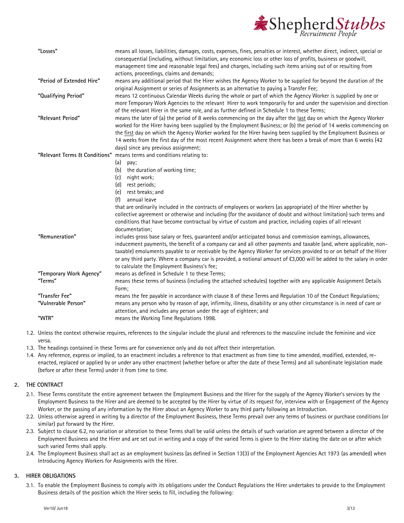

| "Losses"                           | means all losses, liabilities, damages, costs, expenses, fines, penalties or interest, whether direct, indirect, special or<br>consequential (including, without limitation, any economic loss or other loss of profits, business or goodwill,<br>management time and reasonable legal fees) and charges, including such items arising out of or resulting from<br>actions, proceedings, claims and demands;                                                                                                                                                        |
|------------------------------------|---------------------------------------------------------------------------------------------------------------------------------------------------------------------------------------------------------------------------------------------------------------------------------------------------------------------------------------------------------------------------------------------------------------------------------------------------------------------------------------------------------------------------------------------------------------------|
| "Period of Extended Hire"          | means any additional period that the Hirer wishes the Agency Worker to be supplied for beyond the duration of the<br>original Assignment or series of Assignments as an alternative to paying a Transfer Fee;                                                                                                                                                                                                                                                                                                                                                       |
| "Qualifying Period"                | means 12 continuous Calendar Weeks during the whole or part of which the Agency Worker is supplied by one or<br>more Temporary Work Agencies to the relevant Hirer to work temporarily for and under the supervision and direction<br>of the relevant Hirer in the same role, and as further defined in Schedule 1 to these Terms;                                                                                                                                                                                                                                  |
| "Relevant Period"                  | means the later of (a) the period of 8 weeks commencing on the day after the last day on which the Agency Worker<br>worked for the Hirer having been supplied by the Employment Business; or (b) the period of 14 weeks commencing on<br>the first day on which the Agency Worker worked for the Hirer having been supplied by the Employment Business or<br>14 weeks from the first day of the most recent Assignment where there has been a break of more than 6 weeks (42<br>days) since any previous assignment;                                                |
| "Relevant Terms & Conditions"      | means terms and conditions relating to:<br>(a)<br>pay;<br>the duration of working time;<br>(b)<br>night work;<br>(c)<br>(d) rest periods;<br>rest breaks; and<br>(e)<br>annual leave<br>(f)<br>that are ordinarily included in the contracts of employees or workers (as appropriate) of the Hirer whether by<br>collective agreement or otherwise and including (for the avoidance of doubt and without limitation) such terms and<br>conditions that have become contractual by virtue of custom and practice, including copies of all relevant<br>documentation; |
| "Remuneration"                     | includes gross base salary or fees, guaranteed and/or anticipated bonus and commission earnings, allowances,<br>inducement payments, the benefit of a company car and all other payments and taxable (and, where applicable, non-<br>taxable) emoluments payable to or receivable by the Agency Worker for services provided to or on behalf of the Hirer<br>or any third party. Where a company car is provided, a notional amount of £3,000 will be added to the salary in order<br>to calculate the Employment Business's fee;                                   |
| "Temporary Work Agency"<br>"Terms" | means as defined in Schedule 1 to these Terms:<br>means these terms of business (including the attached schedules) together with any applicable Assignment Details<br>Form;                                                                                                                                                                                                                                                                                                                                                                                         |
| "Transfer Fee"                     | means the fee payable in accordance with clause 8 of these Terms and Regulation 10 of the Conduct Regulations;                                                                                                                                                                                                                                                                                                                                                                                                                                                      |
| "Vulnerable Person"                | means any person who by reason of age, infirmity, illness, disability or any other circumstance is in need of care or<br>attention, and includes any person under the age of eighteen; and                                                                                                                                                                                                                                                                                                                                                                          |
| "WTR"                              | means the Working Time Regulations 1998.                                                                                                                                                                                                                                                                                                                                                                                                                                                                                                                            |

- 1.2. Unless the context otherwise requires, references to the singular include the plural and references to the masculine include the feminine and vice versa.
- 1.3. The headings contained in these Terms are for convenience only and do not affect their interpretation.
- 1.4. Any reference, express or implied, to an enactment includes a reference to that enactment as from time to time amended, modified, extended, reenacted, replaced or applied by or under any other enactment (whether before or after the date of these Terms) and all subordinate legislation made (before or after these Terms) under it from time to time.

#### **2. THE CONTRACT**

- 2.1. These Terms constitute the entire agreement between the Employment Business and the Hirer for the supply of the Agency Worker's services by the Employment Business to the Hirer and are deemed to be accepted by the Hirer by virtue of its request for, interview with or Engagement of the Agency Worker, or the passing of any information by the Hirer about an Agency Worker to any third party following an Introduction.
- 2.2. Unless otherwise agreed in writing by a director of the Employment Business, these Terms prevail over any terms of business or purchase conditions (or similar) put forward by the Hirer.
- 2.3. Subject to clause [6.2,](#page-4-1) no variation or alteration to these Terms shall be valid unless the details of such variation are agreed between a director of the Employment Business and the Hirer and are set out in writing and a copy of the varied Terms is given to the Hirer stating the date on or after which such varied Terms shall apply.
- 2.4. The Employment Business shall act as an employment business (as defined in Section 13(3) of the Employment Agencies Act 1973 (as amended) when Introducing Agency Workers for Assignments with the Hirer.

#### **3. HIRER OBLIGATIONS**

3.1. To enable the Employment Business to comply with its obligations under the Conduct Regulations the Hirer undertakes to provide to the Employment Business details of the position which the Hirer seeks to fill, including the following: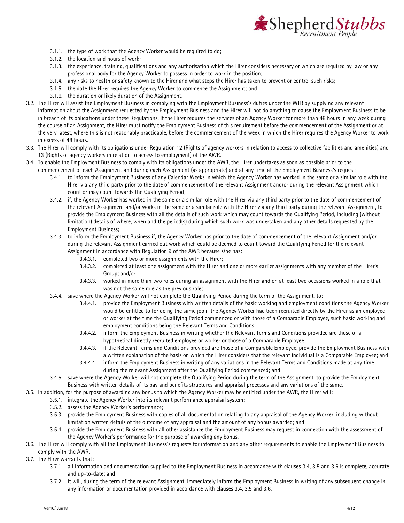

- 3.1.1. the type of work that the Agency Worker would be required to do;
- 3.1.2. the location and hours of work;
- 3.1.3. the experience, training, qualifications and any authorisation which the Hirer considers necessary or which are required by law or any professional body for the Agency Worker to possess in order to work in the position;
- 3.1.4. any risks to health or safety known to the Hirer and what steps the Hirer has taken to prevent or control such risks;
- 3.1.5. the date the Hirer requires the Agency Worker to commence the Assignment; and
- 3.1.6. the duration or likely duration of the Assignment.
- 3.2. The Hirer will assist the Employment Business in complying with the Employment Business's duties under the WTR by supplying any relevant information about the Assignment requested by the Employment Business and the Hirer will not do anything to cause the Employment Business to be in breach of its obligations under these Regulations. If the Hirer requires the services of an Agency Worker for more than 48 hours in any week during the course of an Assignment, the Hirer must notify the Employment Business of this requirement before the commencement of the Assignment or at the very latest, where this is not reasonably practicable, before the commencement of the week in which the Hirer requires the Agency Worker to work in excess of 48 hours.
- 3.3. The Hirer will comply with its obligations under Regulation 12 (Rights of agency workers in relation to access to collective facilities and amenities) and 13 (Rights of agency workers in relation to access to employment) of the AWR.
- <span id="page-3-0"></span>3.4. To enable the Employment Business to comply with its obligations under the AWR, the Hirer undertakes as soon as possible prior to the commencement of each Assignment and during each Assignment (as appropriate) and at any time at the Employment Business's request:
	- 3.4.1. to inform the Employment Business of any Calendar Weeks in which the Agency Worker has worked in the same or a similar role with the Hirer via any third party prior to the date of commencement of the relevant Assignment and/or during the relevant Assignment which count or may count towards the Qualifying Period;
	- 3.4.2. if, the Agency Worker has worked in the same or a similar role with the Hirer via any third party prior to the date of commencement of the relevant Assignment and/or works in the same or a similar role with the Hirer via any third party during the relevant Assignment, to provide the Employment Business with all the details of such work which may count towards the Qualifying Period, including (without limitation) details of where, when and the period(s) during which such work was undertaken and any other details requested by the Employment Business;

#### 3.4.3. to inform the Employment Business if, the Agency Worker has prior to the date of commencement of the relevant Assignment and/or during the relevant Assignment carried out work which could be deemed to count toward the Qualifying Period for the relevant Assignment in accordance with Regulation 9 of the AWR because s/he has:

- - 3.4.3.1. completed two or more assignments with the Hirer;
	- 3.4.3.2. completed at least one assignment with the Hirer and one or more earlier assignments with any member of the Hirer's Group; and/or
	- 3.4.3.3. worked in more than two roles during an assignment with the Hirer and on at least two occasions worked in a role that was not the same role as the previous role;
- 3.4.4. save where the Agency Worker will not complete the Qualifying Period during the term of the Assignment, to:
	- 3.4.4.1. provide the Employment Business with written details of the basic working and employment conditions the Agency Worker would be entitled to for doing the same job if the Agency Worker had been recruited directly by the Hirer as an employee or worker at the time the Qualifying Period commenced or with those of a Comparable Employee, such basic working and employment conditions being the Relevant Terms and Conditions;
	- 3.4.4.2. inform the Employment Business in writing whether the Relevant Terms and Conditions provided are those of a hypothetical directly recruited employee or worker or those of a Comparable Employee;
	- 3.4.4.3. if the Relevant Terms and Conditions provided are those of a Comparable Employee, provide the Employment Business with a written explanation of the basis on which the Hirer considers that the relevant individual is a Comparable Employee; and
	- 3.4.4.4. inform the Employment Business in writing of any variations in the Relevant Terms and Conditions made at any time during the relevant Assignment after the Qualifying Period commenced; and
- 3.4.5. save where the Agency Worker will not complete the Qualifying Period during the term of the Assignment, to provide the Employment Business with written details of its pay and benefits structures and appraisal processes and any variations of the same.
- <span id="page-3-1"></span>3.5. In addition, for the purpose of awarding any bonus to which the Agency Worker may be entitled under the AWR, the Hirer will:
	- 3.5.1. integrate the Agency Worker into its relevant performance appraisal system;
		- 3.5.2. assess the Agency Worker's performance;
		- 3.5.3. provide the Employment Business with copies of all documentation relating to any appraisal of the Agency Worker, including without limitation written details of the outcome of any appraisal and the amount of any bonus awarded; and
		- 3.5.4. provide the Employment Business with all other assistance the Employment Business may request in connection with the assessment of the Agency Worker's performance for the purpose of awarding any bonus.
- <span id="page-3-2"></span>3.6. The Hirer will comply with all the Employment Business's requests for information and any other requirements to enable the Employment Business to comply with the AWR.
- 3.7. The Hirer warrants that:
	- 3.7.1. all information and documentation supplied to the Employment Business in accordance with clause[s 3.4,](#page-3-0) [3.5](#page-3-1) and [3.6](#page-3-2) is complete, accurate and up-to-date; and
	- 3.7.2. it will, during the term of the relevant Assignment, immediately inform the Employment Business in writing of any subsequent change in any information or documentation provided in accordance with clauses [3.4,](#page-3-0) [3.5](#page-3-1) an[d 3.6.](#page-3-2)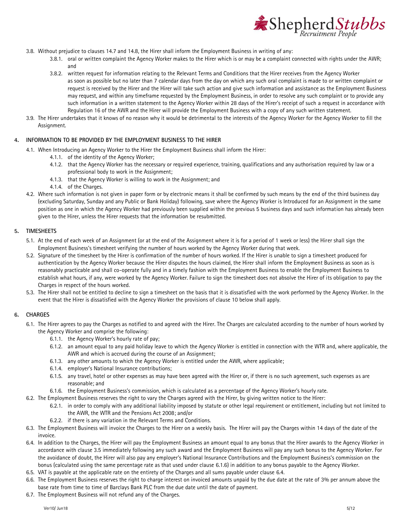

- 3.8. Without prejudice to clause[s 14.7](#page-7-0) an[d 14.8,](#page-7-1) the Hirer shall inform the Employment Business in writing of any:
	- 3.8.1. oral or written complaint the Agency Worker makes to the Hirer which is or may be a complaint connected with rights under the AWR; and
	- 3.8.2. written request for information relating to the Relevant Terms and Conditions that the Hirer receives from the Agency Worker as soon as possible but no later than 7 calendar days from the day on which any such oral complaint is made to or written complaint or request is received by the Hirer and the Hirer will take such action and give such information and assistance as the Employment Business may request, and within any timeframe requested by the Employment Business, in order to resolve any such complaint or to provide any such information in a written statement to the Agency Worker within 28 days of the Hirer's receipt of such a request in accordance with Regulation 16 of the AWR and the Hirer will provide the Employment Business with a copy of any such written statement.
- 3.9. The Hirer undertakes that it knows of no reason why it would be detrimental to the interests of the Agency Worker for the Agency Worker to fill the Assignment.

## **4. INFORMATION TO BE PROVIDED BY THE EMPLOYMENT BUSINESS TO THE HIRER**

- 4.1. When Introducing an Agency Worker to the Hirer the Employment Business shall inform the Hirer:
	- 4.1.1. of the identity of the Agency Worker;
		- 4.1.2. that the Agency Worker has the necessary or required experience, training, qualifications and any authorisation required by law or a professional body to work in the Assignment;
		- 4.1.3. that the Agency Worker is willing to work in the Assignment; and
		- 4.1.4. of the Charges.
- 4.2. Where such information is not given in paper form or by electronic means it shall be confirmed by such means by the end of the third business day (excluding Saturday, Sunday and any Public or Bank Holiday) following, save where the Agency Worker is Introduced for an Assignment in the same position as one in which the Agency Worker had previously been supplied within the previous 5 business days and such information has already been given to the Hirer, unless the Hirer requests that the information be resubmitted.

#### **5. TIMESHEETS**

- 5.1. At the end of each week of an Assignment (or at the end of the Assignment where it is for a period of 1 week or less) the Hirer shall sign the Employment Business's timesheet verifying the number of hours worked by the Agency Worker during that week.
- 5.2. Signature of the timesheet by the Hirer is confirmation of the number of hours worked. If the Hirer is unable to sign a timesheet produced for authentication by the Agency Worker because the Hirer disputes the hours claimed, the Hirer shall inform the Employment Business as soon as is reasonably practicable and shall co-operate fully and in a timely fashion with the Employment Business to enable the Employment Business to establish what hours, if any, were worked by the Agency Worker. Failure to sign the timesheet does not absolve the Hirer of its obligation to pay the Charges in respect of the hours worked.
- 5.3. The Hirer shall not be entitled to decline to sign a timesheet on the basis that it is dissatisfied with the work performed by the Agency Worker. In the event that the Hirer is dissatisfied with the Agency Worker the provisions of clause 10 below shall apply.

#### <span id="page-4-0"></span>**6. CHARGES**

- 6.1. The Hirer agrees to pay the Charges as notified to and agreed with the Hirer. The Charges are calculated according to the number of hours worked by the Agency Worker and comprise the following:
	- 6.1.1. the Agency Worker's hourly rate of pay;
	- 6.1.2. an amount equal to any paid holiday leave to which the Agency Worker is entitled in connection with the WTR and, where applicable, the AWR and which is accrued during the course of an Assignment;
	- 6.1.3. any other amounts to which the Agency Worker is entitled under the AWR, where applicable;
	- 6.1.4. employer's National Insurance contributions;
	- 6.1.5. any travel, hotel or other expenses as may have been agreed with the Hirer or, if there is no such agreement, such expenses as are reasonable; and
	- 6.1.6. the Employment Business's commission, which is calculated as a percentage of the Agency Worker's hourly rate.
	- 6.2. The Employment Business reserves the right to vary the Charges agreed with the Hirer, by giving written notice to the Hirer:
		- 6.2.1. in order to comply with any additional liability imposed by statute or other legal requirement or entitlement, including but not limited to the AWR, the WTR and the Pensions Act 2008; and/or
		- 6.2.2. if there is any variation in the Relevant Terms and Conditions.
	- 6.3. The Employment Business will invoice the Charges to the Hirer on a weekly basis. The Hirer will pay the Charges within 14 days of the date of the invoice.
- <span id="page-4-3"></span><span id="page-4-2"></span><span id="page-4-1"></span>6.4. In addition to the Charges, the Hirer will pay the Employment Business an amount equal to any bonus that the Hirer awards to the Agency Worker in accordance with claus[e 3.5](#page-3-1) immediately following any such award and the Employment Business will pay any such bonus to the Agency Worker. For the avoidance of doubt, the Hirer will also pay any employer's National Insurance Contributions and the Employment Business's commission on the bonus (calculated using the same percentage rate as that used under clause [6.1.6\)](#page-4-2) in addition to any bonus payable to the Agency Worker.
- 6.5. VAT is payable at the applicable rate on the entirety of the Charges and all sums payable under claus[e 6.4.](#page-4-3)
- 6.6. The Employment Business reserves the right to charge interest on invoiced amounts unpaid by the due date at the rate of 3% per annum above the base rate from time to time of Barclays Bank PLC from the due date until the date of payment.
- 6.7. The Employment Business will not refund any of the Charges.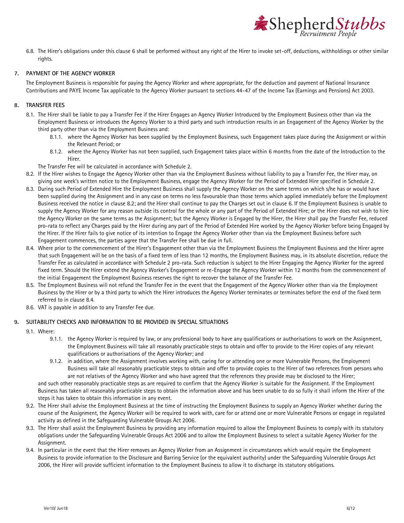

6.8. The Hirer's obligations under this clause [6](#page-4-0) shall be performed without any right of the Hirer to invoke set-off, deductions, withholdings or other similar rights.

#### <span id="page-5-2"></span>**7. PAYMENT OF THE AGENCY WORKER**

The Employment Business is responsible for paying the Agency Worker and where appropriate, for the deduction and payment of National Insurance Contributions and PAYE Income Tax applicable to the Agency Worker pursuant to sections 44-47 of the Income Tax (Earnings and Pensions) Act 2003.

#### <span id="page-5-3"></span>**8. TRANSFER FEES**

- 8.1. The Hirer shall be liable to pay a Transfer Fee if the Hirer Engages an Agency Worker Introduced by the Employment Business other than via the Employment Business or introduces the Agency Worker to a third party and such introduction results in an Engagement of the Agency Worker by the third party other than via the Employment Business and:
	- 8.1.1. where the Agency Worker has been supplied by the Employment Business, such Engagement takes place during the Assignment or within the Relevant Period; or
	- 8.1.2. where the Agency Worker has not been supplied, such Engagement takes place within 6 months from the date of the Introduction to the Hirer.
	- The Transfer Fee will be calculated in accordance with Schedule 2.
- <span id="page-5-0"></span>8.2. If the Hirer wishes to Engage the Agency Worker other than via the Employment Business without liability to pay a Transfer Fee, the Hirer may, on giving one week's written notice to the Employment Business, engage the Agency Worker for the Period of Extended Hire specified in Schedule 2.
- 8.3. During such Period of Extended Hire the Employment Business shall supply the Agency Worker on the same terms on which s/he has or would have been supplied during the Assignment and in any case on terms no less favourable than those terms which applied immediately before the Employment Business received the notice in claus[e 8.2;](#page-5-0) and the Hirer shall continue to pay the Charges set out in clause [6.](#page-4-0) If the Employment Business is unable to supply the Agency Worker for any reason outside its control for the whole or any part of the Period of Extended Hire; or the Hirer does not wish to hire the Agency Worker on the same terms as the Assignment; but the Agency Worker is Engaged by the Hirer, the Hirer shall pay the Transfer Fee, reduced pro-rata to reflect any Charges paid by the Hirer during any part of the Period of Extended Hire worked by the Agency Worker before being Engaged by the Hirer. If the Hirer fails to give notice of its intention to Engage the Agency Worker other than via the Employment Business before such Engagement commences, the parties agree that the Transfer Fee shall be due in full.
- <span id="page-5-1"></span>8.4. Where prior to the commencement of the Hirer's Engagement other than via the Employment Business the Employment Business and the Hirer agree that such Engagement will be on the basis of a fixed term of less than 12 months, the Employment Business may, in its absolute discretion, reduce the Transfer Fee as calculated in accordance with Schedule 2 pro-rata. Such reduction is subject to the Hirer Engaging the Agency Worker for the agreed fixed term. Should the Hirer extend the Agency Worker's Engagement or re-Engage the Agency Worker within 12 months from the commencement of the initial Engagement the Employment Business reserves the right to recover the balance of the Transfer Fee.
- 8.5. The Employment Business will not refund the Transfer Fee in the event that the Engagement of the Agency Worker other than via the Employment Business by the Hirer or by a third party to which the Hirer introduces the Agency Worker terminates or terminates before the end of the fixed term referred to in claus[e 8.4.](#page-5-1)
- 8.6. VAT is payable in addition to any Transfer Fee due.

#### **9. SUITABILITY CHECKS AND INFORMATION TO BE PROVIDED IN SPECIAL SITUATIONS**

- 9.1. Where:
	- 9.1.1. the Agency Worker is required by law, or any professional body to have any qualifications or authorisations to work on the Assignment, the Employment Business will take all reasonably practicable steps to obtain and offer to provide to the Hirer copies of any relevant qualifications or authorisations of the Agency Worker; and
	- 9.1.2. in addition, where the Assignment involves working with, caring for or attending one or more Vulnerable Persons, the Employment Business will take all reasonably practicable steps to obtain and offer to provide copies to the Hirer of two references from persons who are not relatives of the Agency Worker and who have agreed that the references they provide may be disclosed to the Hirer;

and such other reasonably practicable steps as are required to confirm that the Agency Worker is suitable for the Assignment. If the Employment Business has taken all reasonably practicable steps to obtain the information above and has been unable to do so fully it shall inform the Hirer of the steps it has taken to obtain this information in any event.

- 9.2. The Hirer shall advise the Employment Business at the time of instructing the Employment Business to supply an Agency Worker whether during the course of the Assignment, the Agency Worker will be required to work with, care for or attend one or more Vulnerable Persons or engage in regulated activity as defined in the Safeguarding Vulnerable Groups Act 2006.
- 9.3. The Hirer shall assist the Employment Business by providing any information required to allow the Employment Business to comply with its statutory obligations under the Safeguarding Vulnerable Groups Act 2006 and to allow the Employment Business to select a suitable Agency Worker for the Assignment.
- 9.4. In particular in the event that the Hirer removes an Agency Worker from an Assignment in circumstances which would require the Employment Business to provide information to the Disclosure and Barring Service (or the equivalent authority) under the Safeguarding Vulnerable Groups Act 2006, the Hirer will provide sufficient information to the Employment Business to allow it to discharge its statutory obligations.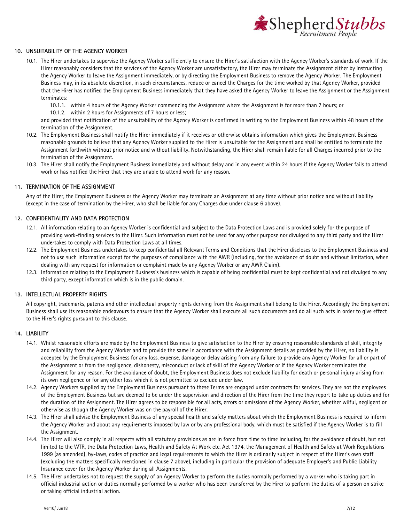

#### **10. UNSUITABILITY OF THE AGENCY WORKER**

- 10.1. The Hirer undertakes to supervise the Agency Worker sufficiently to ensure the Hirer's satisfaction with the Agency Worker's standards of work. If the Hirer reasonably considers that the services of the Agency Worker are unsatisfactory, the Hirer may terminate the Assignment either by instructing the Agency Worker to leave the Assignment immediately, or by directing the Employment Business to remove the Agency Worker. The Employment Business may, in its absolute discretion, in such circumstances, reduce or cancel the Charges for the time worked by that Agency Worker, provided that the Hirer has notified the Employment Business immediately that they have asked the Agency Worker to leave the Assignment or the Assignment terminates:
	- 10.1.1. within 4 hours of the Agency Worker commencing the Assignment where the Assignment is for more than 7 hours; or
	- 10.1.2. within 2 hours for Assignments of 7 hours or less;

and provided that notification of the unsuitability of the Agency Worker is confirmed in writing to the Employment Business within 48 hours of the termination of the Assignment.

- 10.2. The Employment Business shall notify the Hirer immediately if it receives or otherwise obtains information which gives the Employment Business reasonable grounds to believe that any Agency Worker supplied to the Hirer is unsuitable for the Assignment and shall be entitled to terminate the Assignment forthwith without prior notice and without liability. Notwithstanding, the Hirer shall remain liable for all Charges incurred prior to the termination of the Assignment.
- 10.3. The Hirer shall notify the Employment Business immediately and without delay and in any event within 24 hours if the Agency Worker fails to attend work or has notified the Hirer that they are unable to attend work for any reason.

#### **11. TERMINATION OF THE ASSIGNMENT**

Any of the Hirer, the Employment Business or the Agency Worker may terminate an Assignment at any time without prior notice and without liability (except in the case of termination by the Hirer, who shall be liable for any Charges due under clause [6](#page-4-0) above).

#### **12. CONFIDENTIALITY AND DATA PROTECTION**

- 12.1. All information relating to an Agency Worker is confidential and subject to the Data Protection Laws and is provided solely for the purpose of providing work-finding services to the Hirer. Such information must not be used for any other purpose nor divulged to any third party and the Hirer undertakes to comply with Data Protection Laws at all times.
- 12.2. The Employment Business undertakes to keep confidential all Relevant Terms and Conditions that the Hirer discloses to the Employment Business and not to use such information except for the purposes of compliance with the AWR (including, for the avoidance of doubt and without limitation, when dealing with any request for information or complaint made by any Agency Worker or any AWR Claim).
- 12.3. Information relating to the Employment Business's business which is capable of being confidential must be kept confidential and not divulged to any third party, except information which is in the public domain.

#### **13. INTELLECTUAL PROPERTY RIGHTS**

All copyright, trademarks, patents and other intellectual property rights deriving from the Assignment shall belong to the Hirer. Accordingly the Employment Business shall use its reasonable endeavours to ensure that the Agency Worker shall execute all such documents and do all such acts in order to give effect to the Hirer's rights pursuant to this clause.

#### **14. LIABILITY**

- 14.1. Whilst reasonable efforts are made by the Employment Business to give satisfaction to the Hirer by ensuring reasonable standards of skill, integrity and reliability from the Agency Worker and to provide the same in accordance with the Assignment details as provided by the Hirer, no liability is accepted by the Employment Business for any loss, expense, damage or delay arising from any failure to provide any Agency Worker for all or part of the Assignment or from the negligence, dishonesty, misconduct or lack of skill of the Agency Worker or if the Agency Worker terminates the Assignment for any reason. For the avoidance of doubt, the Employment Business does not exclude liability for death or personal injury arising from its own negligence or for any other loss which it is not permitted to exclude under law.
- 14.2. Agency Workers supplied by the Employment Business pursuant to these Terms are engaged under contracts for services. They are not the employees of the Employment Business but are deemed to be under the supervision and direction of the Hirer from the time they report to take up duties and for the duration of the Assignment. The Hirer agrees to be responsible for all acts, errors or omissions of the Agency Worker, whether wilful, negligent or otherwise as though the Agency Worker was on the payroll of the Hirer.
- 14.3. The Hirer shall advise the Employment Business of any special health and safety matters about which the Employment Business is required to inform the Agency Worker and about any requirements imposed by law or by any professional body, which must be satisfied if the Agency Worker is to fill the Assignment.
- 14.4. The Hirer will also comply in all respects with all statutory provisions as are in force from time to time including, for the avoidance of doubt, but not limited to the WTR, the Data Protection Laws, Health and Safety At Work etc. Act 1974, the Management of Health and Safety at Work Regulations 1999 (as amended), by-laws, codes of practice and legal requirements to which the Hirer is ordinarily subject in respect of the Hirer's own staff (excluding the matters specifically mentioned in clause [7](#page-5-2) above), including in particular the provision of adequate Employer's and Public Liability Insurance cover for the Agency Worker during all Assignments.
- 14.5. The Hirer undertakes not to request the supply of an Agency Worker to perform the duties normally performed by a worker who is taking part in official industrial action or duties normally performed by a worker who has been transferred by the Hirer to perform the duties of a person on strike or taking official industrial action.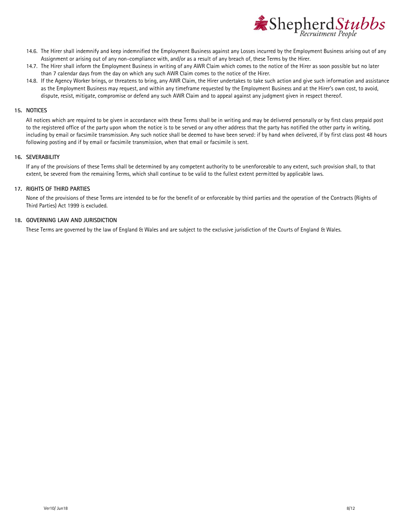

- 14.6. The Hirer shall indemnify and keep indemnified the Employment Business against any Losses incurred by the Employment Business arising out of any Assignment or arising out of any non-compliance with, and/or as a result of any breach of, these Terms by the Hirer.
- <span id="page-7-0"></span>14.7. The Hirer shall inform the Employment Business in writing of any AWR Claim which comes to the notice of the Hirer as soon possible but no later than 7 calendar days from the day on which any such AWR Claim comes to the notice of the Hirer.
- <span id="page-7-1"></span>14.8. If the Agency Worker brings, or threatens to bring, any AWR Claim, the Hirer undertakes to take such action and give such information and assistance as the Employment Business may request, and within any timeframe requested by the Employment Business and at the Hirer's own cost, to avoid, dispute, resist, mitigate, compromise or defend any such AWR Claim and to appeal against any judgment given in respect thereof.

#### **15. NOTICES**

All notices which are required to be given in accordance with these Terms shall be in writing and may be delivered personally or by first class prepaid post to the registered office of the party upon whom the notice is to be served or any other address that the party has notified the other party in writing, including by email or facsimile transmission. Any such notice shall be deemed to have been served: if by hand when delivered, if by first class post 48 hours following posting and if by email or facsimile transmission, when that email or facsimile is sent.

#### **16. SEVERABILITY**

If any of the provisions of these Terms shall be determined by any competent authority to be unenforceable to any extent, such provision shall, to that extent, be severed from the remaining Terms, which shall continue to be valid to the fullest extent permitted by applicable laws.

#### **17. RIGHTS OF THIRD PARTIES**

None of the provisions of these Terms are intended to be for the benefit of or enforceable by third parties and the operation of the Contracts (Rights of Third Parties) Act 1999 is excluded.

#### **18. GOVERNING LAW AND JURISDICTION**

These Terms are governed by the law of England & Wales and are subject to the exclusive jurisdiction of the Courts of England & Wales.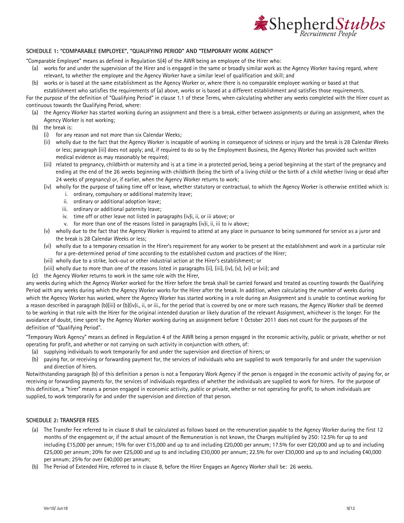

#### **SCHEDULE 1: "COMPARABLE EMPLOYEE", "QUALIFYING PERIOD" AND "TEMPORARY WORK AGENCY"**

"Comparable Employee" means as defined in Regulation 5(4) of the AWR being an employee of the Hirer who:

- (a) works for and under the supervision of the Hirer and is engaged in the same or broadly similar work as the Agency Worker having regard, where relevant, to whether the employee and the Agency Worker have a similar level of qualification and skill; and
- (b) works or is based at the same establishment as the Agency Worker or, where there is no comparable employee working or based at that

establishment who satisfies the requirements of (a) above, works or is based at a different establishment and satisfies those requirements.

For the purpose of the definition of "Qualifying Period" in claus[e 1.1](#page-1-0) of these Terms, when calculating whether any weeks completed with the Hirer count as continuous towards the Qualifying Period, where:

- (a) the Agency Worker has started working during an assignment and there is a break, either between assignments or during an assignment, when the Agency Worker is not working;
- (b) the break is:
	- (i) for any reason and not more than six Calendar Weeks;
	- (ii) wholly due to the fact that the Agency Worker is incapable of working in consequence of sickness or injury and the break is 28 Calendar Weeks or less; paragraph (iii) does not apply; and, if required to do so by the Employment Business, the Agency Worker has provided such written medical evidence as may reasonably be required;
	- (iii) related to pregnancy, childbirth or maternity and is at a time in a protected period, being a period beginning at the start of the pregnancy and ending at the end of the 26 weeks beginning with childbirth (being the birth of a living child or the birth of a child whether living or dead after 24 weeks of pregnancy) or, if earlier, when the Agency Worker returns to work;
	- (iv) wholly for the purpose of taking time off or leave, whether statutory or contractual, to which the Agency Worker is otherwise entitled which is: i. ordinary, compulsory or additional maternity leave;
		- ii. ordinary or additional adoption leave;
		- iii. ordinary or additional paternity leave;
		- iv. time off or other leave not listed in paragraphs (iv)i, ii, or iii above; or
		- v. for more than one of the reasons listed in paragraphs (iv)i, ii, iii to iv above;
	- (v) wholly due to the fact that the Agency Worker is required to attend at any place in pursuance to being summoned for service as a juror and the break is 28 Calendar Weeks or less;
	- (vi) wholly due to a temporary cessation in the Hirer's requirement for any worker to be present at the establishment and work in a particular role for a pre-determined period of time according to the established custom and practices of the Hirer;
	- (vii) wholly due to a strike, lock-out or other industrial action at the Hirer's establishment; or
	- (viii) wholly due to more than one of the reasons listed in paragraphs (ii), (iii), (iv), (v), (vi) or (vii); and
- (c) the Agency Worker returns to work in the same role with the Hirer,

any weeks during which the Agency Worker worked for the Hirer before the break shall be carried forward and treated as counting towards the Qualifying Period with any weeks during which the Agency Worker works for the Hirer after the break. In addition, when calculating the number of weeks during which the Agency Worker has worked, where the Agency Worker has started working in a role during an Assignment and is unable to continue working for a reason described in paragraph (b)(iii) or (b)(iv)i., ii, or iii., for the period that is covered by one or more such reasons, the Agency Worker shall be deemed to be working in that role with the Hirer for the original intended duration or likely duration of the relevant Assignment, whichever is the longer. For the avoidance of doubt, time spent by the Agency Worker working during an assignment before 1 October 2011 does not count for the purposes of the definition of "Qualifying Period".

"Temporary Work Agency" means as defined in Regulation 4 of the AWR being a person engaged in the economic activity, public or private, whether or not operating for profit, and whether or not carrying on such activity in conjunction with others, of:

- (a) supplying individuals to work temporarily for and under the supervision and direction of hirers; or
- (b) paying for, or receiving or forwarding payment for, the services of individuals who are supplied to work temporarily for and under the supervision and direction of hirers.

Notwithstanding paragraph (b) of this definition a person is not a Temporary Work Agency if the person is engaged in the economic activity of paying for, or receiving or forwarding payments for, the services of individuals regardless of whether the individuals are supplied to work for hirers. For the purpose of this definition, a "hirer" means a person engaged in economic activity, public or private, whether or not operating for profit, to whom individuals are supplied, to work temporarily for and under the supervision and direction of that person.

#### **SCHEDULE 2: TRANSFER FEES**

- (a) The Transfer Fee referred to in clause [8](#page-5-3) shall be calculated as follows based on the remuneration payable to the Agency Worker during the first 12 months of the engagement or, if the actual amount of the Remuneration is not known, the Charges multiplied by 250: 12.5% for up to and including £15,000 per annum; 15% for over £15,000 and up to and including £20,000 per annum; 17.5% for over £20,000 and up to and including £25,000 per annum; 20% for over £25,000 and up to and including £30,000 per annum; 22.5% for over £30,000 and up to and including £40,000 per annum; 25% for over £40,000 per annum;
- (b) The Period of Extended Hire, referred to in clause [8,](#page-5-3) before the Hirer Engages an Agency Worker shall be: 26 weeks.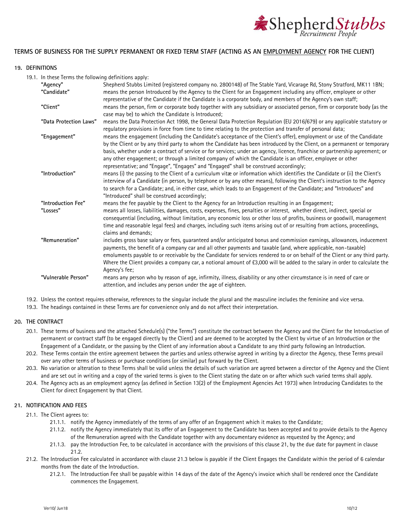

### **TERMS OF BUSINESS FOR THE SUPPLY PERMANENT OR FIXED TERM STAFF (ACTING AS AN EMPLOYMENT AGENCY FOR THE CLIENT)**

#### **19. DEFINITIONS**

19.1. In these Terms the following definitions apply:

| "Agency"               | Shepherd Stubbs Limited (registered company no. 2800148) of The Stable Yard, Vicarage Rd, Stony Stratford, MK11 1BN;                                                                                                               |
|------------------------|------------------------------------------------------------------------------------------------------------------------------------------------------------------------------------------------------------------------------------|
| "Candidate"            | means the person Introduced by the Agency to the Client for an Engagement including any officer, employee or other<br>representative of the Candidate if the Candidate is a corporate body, and members of the Agency's own staff; |
| "Client"               |                                                                                                                                                                                                                                    |
|                        | means the person, firm or corporate body together with any subsidiary or associated person, firm or corporate body (as the<br>case may be) to which the Candidate is Introduced;                                                   |
| "Data Protection Laws" | means the Data Protection Act 1998, the General Data Protection Regulation (EU 2016/679) or any applicable statutory or                                                                                                            |
|                        | regulatory provisions in force from time to time relating to the protection and transfer of personal data;                                                                                                                         |
| "Engagement"           | means the engagement (including the Candidate's acceptance of the Client's offer), employment or use of the Candidate                                                                                                              |
|                        | by the Client or by any third party to whom the Candidate has been introduced by the Client, on a permanent or temporary                                                                                                           |
|                        | basis, whether under a contract of service or for services; under an agency, licence, franchise or partnership agreement; or                                                                                                       |
|                        | any other engagement; or through a limited company of which the Candidate is an officer, employee or other                                                                                                                         |
|                        | representative; and "Engage", "Engages" and "Engaged" shall be construed accordingly;                                                                                                                                              |
| "Introduction"         | means (i) the passing to the Client of a curriculum vitæ or information which identifies the Candidate or (ii) the Client's                                                                                                        |
|                        | interview of a Candidate (in person, by telephone or by any other means), following the Client's instruction to the Agency                                                                                                         |
|                        | to search for a Candidate; and, in either case, which leads to an Engagement of the Candidate; and "Introduces" and                                                                                                                |
|                        | "Introduced" shall be construed accordingly;                                                                                                                                                                                       |
| "Introduction Fee"     | means the fee payable by the Client to the Agency for an Introduction resulting in an Engagement;                                                                                                                                  |
| "Losses"               | means all losses, liabilities, damages, costs, expenses, fines, penalties or interest, whether direct, indirect, special or                                                                                                        |
|                        | consequential (including, without limitation, any economic loss or other loss of profits, business or goodwill, management                                                                                                         |
|                        | time and reasonable legal fees) and charges, including such items arising out of or resulting from actions, proceedings,                                                                                                           |
|                        | claims and demands:                                                                                                                                                                                                                |
| "Remuneration"         | includes gross base salary or fees, guaranteed and/or anticipated bonus and commission earnings, allowances, inducement                                                                                                            |
|                        | payments, the benefit of a company car and all other payments and taxable (and, where applicable, non-taxable)                                                                                                                     |
|                        | emoluments payable to or receivable by the Candidate for services rendered to or on behalf of the Client or any third party.                                                                                                       |
|                        | Where the Client provides a company car, a notional amount of £3,000 will be added to the salary in order to calculate the                                                                                                         |
|                        | Agency's fee;                                                                                                                                                                                                                      |
| "Vulnerable Person"    | means any person who by reason of age, infirmity, illness, disability or any other circumstance is in need of care or                                                                                                              |
|                        | attention, and includes any person under the age of eighteen.                                                                                                                                                                      |
|                        |                                                                                                                                                                                                                                    |

19.2. Unless the context requires otherwise, references to the singular include the plural and the masculine includes the feminine and vice versa.

19.3. The headings contained in these Terms are for convenience only and do not affect their interpretation.

#### **20. THE CONTRACT**

- 20.1. These terms of business and the attached Schedule(s) ("the Terms") constitute the contract between the Agency and the Client for the Introduction of permanent or contract staff (to be engaged directly by the Client) and are deemed to be accepted by the Client by virtue of an Introduction or the Engagement of a Candidate, or the passing by the Client of any information about a Candidate to any third party following an Introduction.
- 20.2. These Terms contain the entire agreement between the parties and unless otherwise agreed in writing by a director the Agency, these Terms prevail over any other terms of business or purchase conditions (or similar) put forward by the Client.
- 20.3. No variation or alteration to these Terms shall be valid unless the details of such variation are agreed between a director of the Agency and the Client and are set out in writing and a copy of the varied terms is given to the Client stating the date on or after which such varied terms shall apply.
- 20.4. The Agency acts as an employment agency (as defined in Section 13(2) of the Employment Agencies Act 1973) when Introducing Candidates to the Client for direct Engagement by that Client.

#### **21. NOTIFICATION AND FEES**

- 21.1. The Client agrees to:
	- 21.1.1. notify the Agency immediately of the terms of any offer of an Engagement which it makes to the Candidate;
	- 21.1.2. notify the Agency immediately that its offer of an Engagement to the Candidate has been accepted and to provide details to the Agency of the Remuneration agreed with the Candidate together with any documentary evidence as requested by the Agency; and
	- 21.1.3. pay the Introduction Fee, to be calculated in accordance with the provisions of this clause 21, by the due date for payment in clause 21.2.
- 21.2. The Introduction Fee calculated in accordance with clause 21.3 below is payable if the Client Engages the Candidate within the period of 6 calendar months from the date of the Introduction.
	- 21.2.1. The Introduction Fee shall be payable within 14 days of the date of the Agency's invoice which shall be rendered once the Candidate commences the Engagement.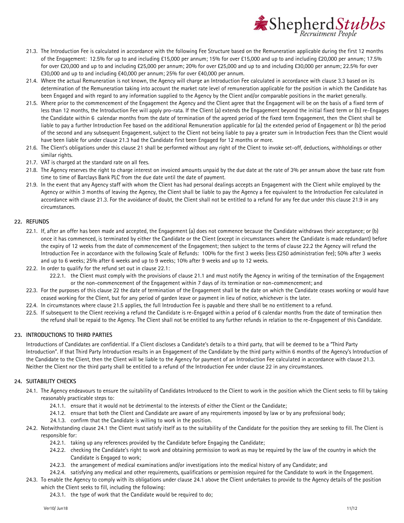

- 21.3. The Introduction Fee is calculated in accordance with the following Fee Structure based on the Remuneration applicable during the first 12 months of the Engagement: 12.5% for up to and including £15,000 per annum; 15% for over £15,000 and up to and including £20,000 per annum; 17.5% for over £20,000 and up to and including £25,000 per annum; 20% for over £25,000 and up to and including £30,000 per annum; 22.5% for over £30,000 and up to and including £40,000 per annum; 25% for over £40,000 per annum.
- 21.4. Where the actual Remuneration is not known, the Agency will charge an Introduction Fee calculated in accordance with clause 3.3 based on its determination of the Remuneration taking into account the market rate level of remuneration applicable for the position in which the Candidate has been Engaged and with regard to any information supplied to the Agency by the Client and/or comparable positions in the market generally.
- 21.5. Where prior to the commencement of the Engagement the Agency and the Client agree that the Engagement will be on the basis of a fixed term of less than 12 months, the Introduction Fee will apply pro-rata. If the Client (a) extends the Engagement beyond the initial fixed term or (b) re-Engages the Candidate within 6 calendar months from the date of termination of the agreed period of the fixed term Engagement, then the Client shall be liable to pay a further Introduction Fee based on the additional Remuneration applicable for (a) the extended period of Engagement or (b) the period of the second and any subsequent Engagement, subject to the Client not being liable to pay a greater sum in Introduction Fees than the Client would have been liable for under clause 21.3 had the Candidate first been Engaged for 12 months or more.
- 21.6. The Client's obligations under this clause 21 shall be performed without any right of the Client to invoke set-off, deductions, withholdings or other similar rights.
- 21.7. VAT is charged at the standard rate on all fees.
- 21.8. The Agency reserves the right to charge interest on invoiced amounts unpaid by the due date at the rate of 3% per annum above the base rate from time to time of Barclays Bank PLC from the due date until the date of payment.
- 21.9. In the event that any Agency staff with whom the Client has had personal dealings accepts an Engagement with the Client while employed by the Agency or within 3 months of leaving the Agency, the Client shall be liable to pay the Agency a fee equivalent to the Introduction Fee calculated in accordance with clause 21.3. For the avoidance of doubt, the Client shall not be entitled to a refund for any fee due under this clause 21.9 in any circumstances.

#### **22. REFUNDS**

- 22.1. If, after an offer has been made and accepted, the Engagement (a) does not commence because the Candidate withdraws their acceptance; or (b) once it has commenced, is terminated by either the Candidate or the Client (except in circumstances where the Candidate is made redundant) before the expiry of 12 weeks from the date of commencement of the Engagement; then subject to the terms of clause 22.2 the Agency will refund the Introduction Fee in accordance with the following Scale of Refunds: 100% for the first 3 weeks (less £250 administration fee); 50% after 3 weeks and up to 6 weeks; 25% after 6 weeks and up to 9 weeks; 10% after 9 weeks and up to 12 weeks.
- 22.2. In order to qualify for the refund set out in clause 22.1:
	- 22.2.1. the Client must comply with the provisions of clause 21.1 and must notify the Agency in writing of the termination of the Engagement or the non-commencement of the Engagement within 7 days of its termination or non-commencement; and
- 22.3. For the purposes of this clause 22 the date of termination of the Engagement shall be the date on which the Candidate ceases working or would have ceased working for the Client, but for any period of garden leave or payment in lieu of notice, whichever is the later.
- 22.4. In circumstances where clause 21.5 applies, the full Introduction Fee is payable and there shall be no entitlement to a refund.
- 22.5. If subsequent to the Client receiving a refund the Candidate is re-Engaged within a period of 6 calendar months from the date of termination then the refund shall be repaid to the Agency. The Client shall not be entitled to any further refunds in relation to the re-Engagement of this Candidate.

#### **23. INTRODUCTIONS TO THIRD PARTIES**

Introductions of Candidates are confidential. If a Client discloses a Candidate's details to a third party, that will be deemed to be a "Third Party Introduction". If that Third Party Introduction results in an Engagement of the Candidate by the third party within 6 months of the Agency's Introduction of the Candidate to the Client, then the Client will be liable to the Agency for payment of an Introduction Fee calculated in accordance with clause 21.3. Neither the Client nor the third party shall be entitled to a refund of the Introduction Fee under clause 22 in any circumstances.

#### <span id="page-10-0"></span>**24. SUITABILITY CHECKS**

- 24.1. The Agency endeavours to ensure the suitability of Candidates Introduced to the Client to work in the position which the Client seeks to fill by taking reasonably practicable steps to:
	- 24.1.1. ensure that it would not be detrimental to the interests of either the Client or the Candidate;
	- 24.1.2. ensure that both the Client and Candidate are aware of any requirements imposed by law or by any professional body;
	- 24.1.3. confirm that the Candidate is willing to work in the position.
- 24.2. Notwithstanding clause [24.1](#page-10-0) the Client must satisfy itself as to the suitability of the Candidate for the position they are seeking to fill. The Client is responsible for:
	- 24.2.1. taking up any references provided by the Candidate before Engaging the Candidate;
	- 24.2.2. checking the Candidate's right to work and obtaining permission to work as may be required by the law of the country in which the Candidate is Engaged to work;
	- 24.2.3. the arrangement of medical examinations and/or investigations into the medical history of any Candidate; and
	- 24.2.4. satisfying any medical and other requirements, qualifications or permission required for the Candidate to work in the Engagement.
- 24.3. To enable the Agency to comply with its obligations under claus[e 24.1](#page-10-0) above the Client undertakes to provide to the Agency details of the position which the Client seeks to fill, including the following:
	- 24.3.1. the type of work that the Candidate would be required to do;